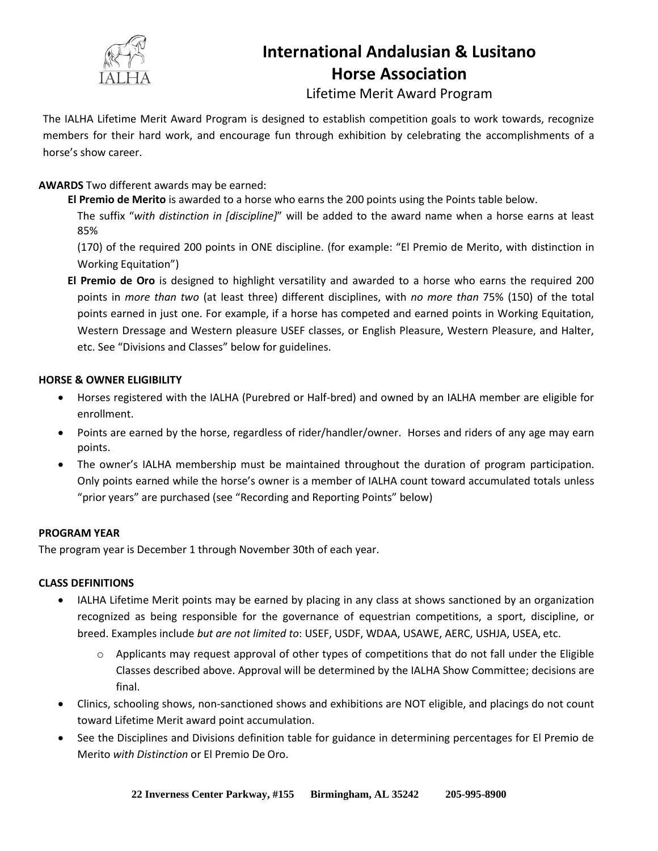

# **International Andalusian & Lusitano Horse Association**

Lifetime Merit Award Program

The IALHA Lifetime Merit Award Program is designed to establish competition goals to work towards, recognize members for their hard work, and encourage fun through exhibition by celebrating the accomplishments of a horse's show career.

## **AWARDS** Two different awards may be earned:

**El Premio de Merito** is awarded to a horse who earns the 200 points using the Points table below.

The suffix "*with distinction in [discipline]*" will be added to the award name when a horse earns at least 85%

(170) of the required 200 points in ONE discipline. (for example: "El Premio de Merito, with distinction in Working Equitation")

**El Premio de Oro** is designed to highlight versatility and awarded to a horse who earns the required 200 points in *more than two* (at least three) different disciplines, with *no more than* 75% (150) of the total points earned in just one. For example, if a horse has competed and earned points in Working Equitation, Western Dressage and Western pleasure USEF classes, or English Pleasure, Western Pleasure, and Halter, etc. See "Divisions and Classes" below for guidelines.

## **HORSE & OWNER ELIGIBILITY**

- Horses registered with the IALHA (Purebred or Half-bred) and owned by an IALHA member are eligible for enrollment.
- Points are earned by the horse, regardless of rider/handler/owner. Horses and riders of any age may earn points.
- The owner's IALHA membership must be maintained throughout the duration of program participation. Only points earned while the horse's owner is a member of IALHA count toward accumulated totals unless "prior years" are purchased (see "Recording and Reporting Points" below)

## **PROGRAM YEAR**

The program year is December 1 through November 30th of each year.

## **CLASS DEFINITIONS**

- IALHA Lifetime Merit points may be earned by placing in any class at shows sanctioned by an organization recognized as being responsible for the governance of equestrian competitions, a sport, discipline, or breed. Examples include *but are not limited to*: USEF, USDF, WDAA, USAWE, AERC, USHJA, USEA, etc.
	- $\circ$  Applicants may request approval of other types of competitions that do not fall under the Eligible Classes described above. Approval will be determined by the IALHA Show Committee; decisions are final.
- Clinics, schooling shows, non-sanctioned shows and exhibitions are NOT eligible, and placings do not count toward Lifetime Merit award point accumulation.
- See the Disciplines and Divisions definition table for guidance in determining percentages for El Premio de Merito *with Distinction* or El Premio De Oro.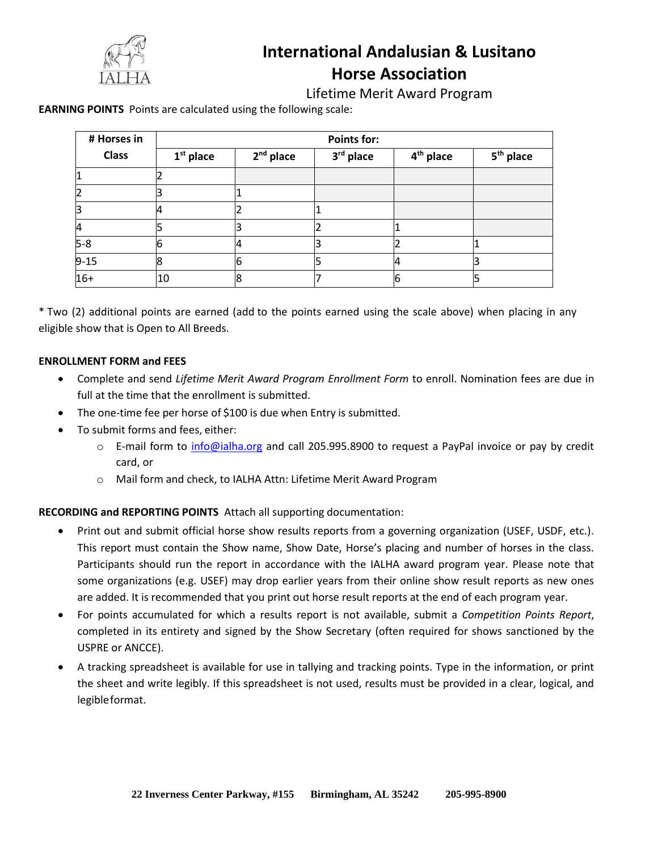

## **International Andalusian & Lusitano Horse Association**

Lifetime Merit Award Program

**EARNING POINTS** Points are calculated using the following scale:

| # Horses in    | <b>Points for:</b> |             |           |                       |                       |
|----------------|--------------------|-------------|-----------|-----------------------|-----------------------|
| <b>Class</b>   | $1st$ place        | $2nd$ place | 3rd place | 4 <sup>th</sup> place | 5 <sup>th</sup> place |
|                |                    |             |           |                       |                       |
|                |                    |             |           |                       |                       |
| 13             |                    |             |           |                       |                       |
| $\overline{4}$ |                    |             |           |                       |                       |
| $5 - 8$        |                    |             |           |                       |                       |
| $9 - 15$       | 8                  | 6           |           |                       |                       |
| $16+$          | 10                 | 8           |           |                       |                       |

eligible show that is Open to All Breeds. \* Two (2) additional points are earned (add to the points earned using the scale above) when placing in any

#### **ENROLLMENT FORM and FEES**

- full at the time that the enrollment is submitted. • Complete and send *Lifetime Merit Award Program Enrollment Form* to enroll. Nomination fees are due in
- The one-time fee per horse of \$100 is due when Entry is submitted.
- To submit forms and fees, either:
	- E-mail form to *[info@ialha.org](mailto:info@ialha.org)* and call 205.995.8900 to request a PayPal invoice or pay by credit card, or
	- o Mail form and check, to IALHA Attn: Lifetime Merit Award Program

 **RECORDING and REPORTING POINTS** Attach all supporting documentation:

- are added. It is recommended that you print out horse result reports at the end of each program year. some organizations (e.g. USEF) may drop earlier years from their online show result reports as new ones Participants should run the report in accordance with the IALHA award program year. Please note that This report must contain the Show name, Show Date, Horse's placing and number of horses in the class. • Print out and submit official horse show results reports from a governing organization (USEF, USDF, etc.).
- USPRE or ANCCE). completed in its entirety and signed by the Show Secretary (often required for shows sanctioned by the • For points accumulated for which a results report is not available, submit a *Competition Points Report*,
- legibleformat. the sheet and write legibly. If this spreadsheet is not used, results must be provided in a clear, logical, and • A tracking spreadsheet is available for use in tallying and tracking points. Type in the information, or print